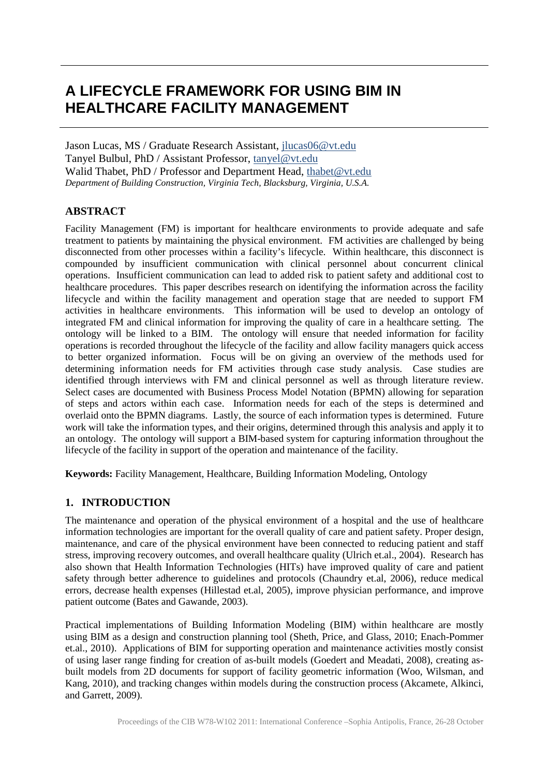# **A LIFECYCLE FRAMEWORK FOR USING BIM IN HEALTHCARE FACILITY MANAGEMENT**

Jason Lucas, MS / Graduate Research Assistant, [jlucas06@vt.edu](mailto:jlucas06@vt.edu) Tanyel Bulbul, PhD / Assistant Professor, [tanyel@vt.edu](mailto:tanyel@vt.edu) Walid Thabet, PhD / Professor and Department Head, [thabet@vt.edu](mailto:thabet@vt.edu) *Department of Building Construction, Virginia Tech, Blacksburg, Virginia, U.S.A.*

# **ABSTRACT**

Facility Management (FM) is important for healthcare environments to provide adequate and safe treatment to patients by maintaining the physical environment. FM activities are challenged by being disconnected from other processes within a facility's lifecycle. Within healthcare, this disconnect is compounded by insufficient communication with clinical personnel about concurrent clinical operations. Insufficient communication can lead to added risk to patient safety and additional cost to healthcare procedures. This paper describes research on identifying the information across the facility lifecycle and within the facility management and operation stage that are needed to support FM activities in healthcare environments. This information will be used to develop an ontology of integrated FM and clinical information for improving the quality of care in a healthcare setting. The ontology will be linked to a BIM. The ontology will ensure that needed information for facility operations is recorded throughout the lifecycle of the facility and allow facility managers quick access to better organized information. Focus will be on giving an overview of the methods used for determining information needs for FM activities through case study analysis. Case studies are identified through interviews with FM and clinical personnel as well as through literature review. Select cases are documented with Business Process Model Notation (BPMN) allowing for separation of steps and actors within each case. Information needs for each of the steps is determined and overlaid onto the BPMN diagrams. Lastly, the source of each information types is determined. Future work will take the information types, and their origins, determined through this analysis and apply it to an ontology. The ontology will support a BIM-based system for capturing information throughout the lifecycle of the facility in support of the operation and maintenance of the facility.

**Keywords:** Facility Management, Healthcare, Building Information Modeling, Ontology

#### **1. INTRODUCTION**

The maintenance and operation of the physical environment of a hospital and the use of healthcare information technologies are important for the overall quality of care and patient safety. Proper design, maintenance, and care of the physical environment have been connected to reducing patient and staff stress, improving recovery outcomes, and overall healthcare quality (Ulrich et.al., 2004). Research has also shown that Health Information Technologies (HITs) have improved quality of care and patient safety through better adherence to guidelines and protocols (Chaundry et.al, 2006), reduce medical errors, decrease health expenses (Hillestad et.al, 2005), improve physician performance, and improve patient outcome (Bates and Gawande, 2003).

Practical implementations of Building Information Modeling (BIM) within healthcare are mostly using BIM as a design and construction planning tool (Sheth, Price, and Glass, 2010; Enach-Pommer et.al., 2010). Applications of BIM for supporting operation and maintenance activities mostly consist of using laser range finding for creation of as-built models (Goedert and Meadati, 2008), creating asbuilt models from 2D documents for support of facility geometric information (Woo, Wilsman, and Kang, 2010), and tracking changes within models during the construction process (Akcamete, Alkinci, and Garrett, 2009).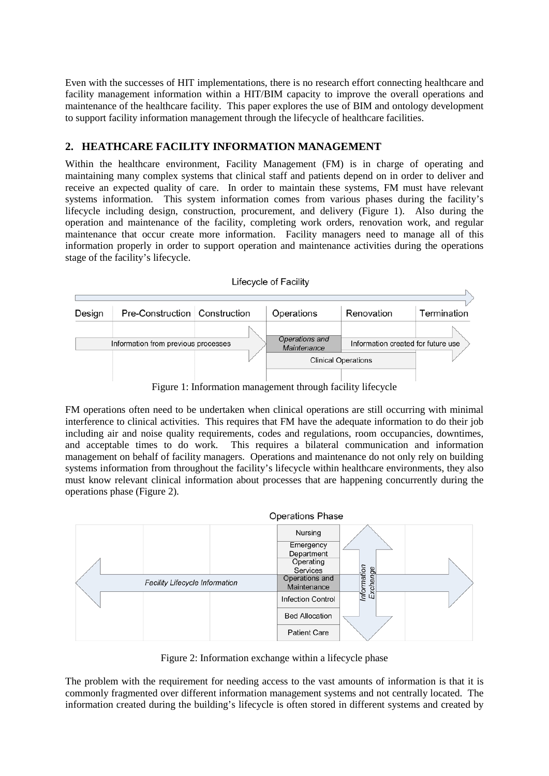Even with the successes of HIT implementations, there is no research effort connecting healthcare and facility management information within a HIT/BIM capacity to improve the overall operations and maintenance of the healthcare facility. This paper explores the use of BIM and ontology development to support facility information management through the lifecycle of healthcare facilities.

# **2. HEATHCARE FACILITY INFORMATION MANAGEMENT**

Within the healthcare environment, Facility Management (FM) is in charge of operating and maintaining many complex systems that clinical staff and patients depend on in order to deliver and receive an expected quality of care. In order to maintain these systems, FM must have relevant systems information. This system information comes from various phases during the facility's lifecycle including design, construction, procurement, and delivery (Figure 1). Also during the operation and maintenance of the facility, completing work orders, renovation work, and regular maintenance that occur create more information. Facility managers need to manage all of this information properly in order to support operation and maintenance activities during the operations stage of the facility's lifecycle.



Figure 1: Information management through facility lifecycle

FM operations often need to be undertaken when clinical operations are still occurring with minimal interference to clinical activities. This requires that FM have the adequate information to do their job including air and noise quality requirements, codes and regulations, room occupancies, downtimes, and acceptable times to do work. This requires a bilateral communication and information management on behalf of facility managers. Operations and maintenance do not only rely on building systems information from throughout the facility's lifecycle within healthcare environments, they also must know relevant clinical information about processes that are happening concurrently during the operations phase (Figure 2).



Figure 2: Information exchange within a lifecycle phase

The problem with the requirement for needing access to the vast amounts of information is that it is commonly fragmented over different information management systems and not centrally located. The information created during the building's lifecycle is often stored in different systems and created by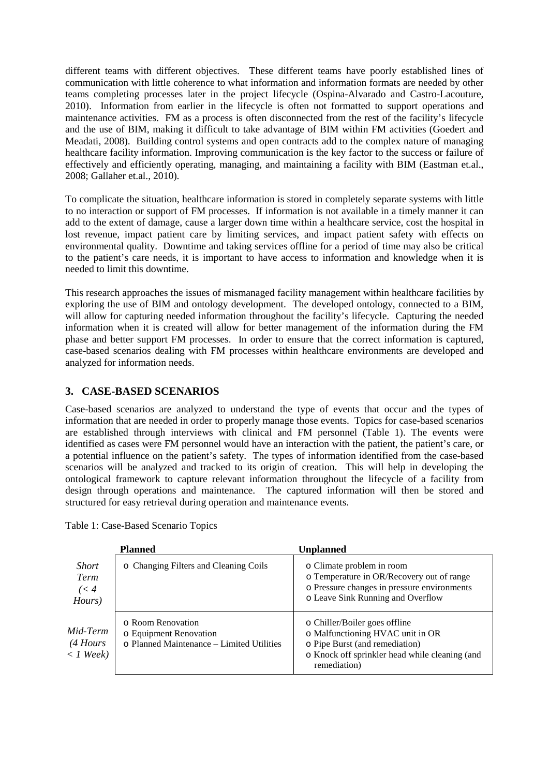different teams with different objectives. These different teams have poorly established lines of communication with little coherence to what information and information formats are needed by other teams completing processes later in the project lifecycle (Ospina-Alvarado and Castro-Lacouture, 2010). Information from earlier in the lifecycle is often not formatted to support operations and maintenance activities. FM as a process is often disconnected from the rest of the facility's lifecycle and the use of BIM, making it difficult to take advantage of BIM within FM activities (Goedert and Meadati, 2008). Building control systems and open contracts add to the complex nature of managing healthcare facility information. Improving communication is the key factor to the success or failure of effectively and efficiently operating, managing, and maintaining a facility with BIM (Eastman et.al., 2008; Gallaher et.al., 2010).

To complicate the situation, healthcare information is stored in completely separate systems with little to no interaction or support of FM processes. If information is not available in a timely manner it can add to the extent of damage, cause a larger down time within a healthcare service, cost the hospital in lost revenue, impact patient care by limiting services, and impact patient safety with effects on environmental quality. Downtime and taking services offline for a period of time may also be critical to the patient's care needs, it is important to have access to information and knowledge when it is needed to limit this downtime.

This research approaches the issues of mismanaged facility management within healthcare facilities by exploring the use of BIM and ontology development. The developed ontology, connected to a BIM, will allow for capturing needed information throughout the facility's lifecycle. Capturing the needed information when it is created will allow for better management of the information during the FM phase and better support FM processes. In order to ensure that the correct information is captured, case-based scenarios dealing with FM processes within healthcare environments are developed and analyzed for information needs.

## **3. CASE-BASED SCENARIOS**

Case-based scenarios are analyzed to understand the type of events that occur and the types of information that are needed in order to properly manage those events. Topics for case-based scenarios are established through interviews with clinical and FM personnel (Table 1). The events were identified as cases were FM personnel would have an interaction with the patient, the patient's care, or a potential influence on the patient's safety. The types of information identified from the case-based scenarios will be analyzed and tracked to its origin of creation. This will help in developing the ontological framework to capture relevant information throughout the lifecycle of a facility from design through operations and maintenance. The captured information will then be stored and structured for easy retrieval during operation and maintenance events.

|                                             | <b>Planned</b>                                                                           | <b>Unplanned</b>                                                                                                                                                      |
|---------------------------------------------|------------------------------------------------------------------------------------------|-----------------------------------------------------------------------------------------------------------------------------------------------------------------------|
| <i>Short</i><br>Term<br>$\zeta$<br>Hours)   | o Changing Filters and Cleaning Coils                                                    | o Climate problem in room<br>o Temperature in OR/Recovery out of range<br>o Pressure changes in pressure environments<br>o Leave Sink Running and Overflow            |
| Mid-Term<br>$(4$ Hours<br>$\langle$ 1 Week) | o Room Renovation<br>o Equipment Renovation<br>o Planned Maintenance - Limited Utilities | o Chiller/Boiler goes offline<br>o Malfunctioning HVAC unit in OR<br>o Pipe Burst (and remediation)<br>o Knock off sprinkler head while cleaning (and<br>remediation) |

Table 1: Case-Based Scenario Topics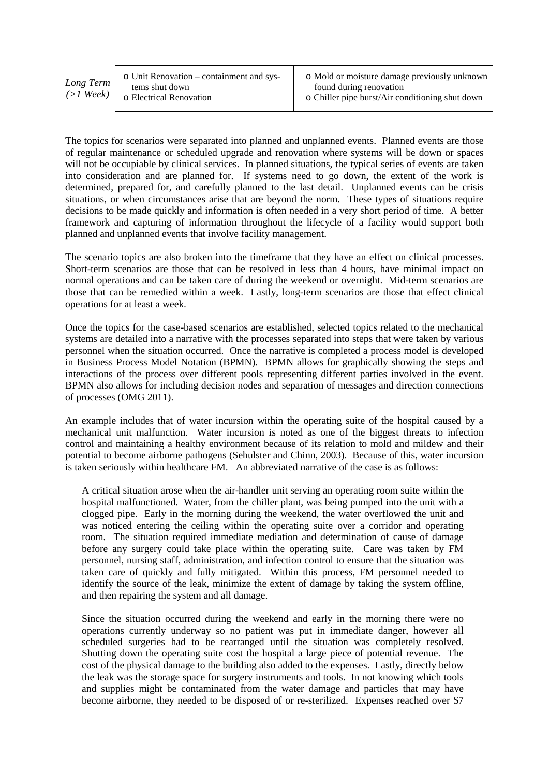*Long Term (>1 Week)*

o Unit Renovation – containment and systems shut down o Electrical Renovation

o Mold or moisture damage previously unknown found during renovation o Chiller pipe burst/Air conditioning shut down

The topics for scenarios were separated into planned and unplanned events. Planned events are those of regular maintenance or scheduled upgrade and renovation where systems will be down or spaces will not be occupiable by clinical services. In planned situations, the typical series of events are taken into consideration and are planned for. If systems need to go down, the extent of the work is determined, prepared for, and carefully planned to the last detail. Unplanned events can be crisis situations, or when circumstances arise that are beyond the norm. These types of situations require decisions to be made quickly and information is often needed in a very short period of time. A better framework and capturing of information throughout the lifecycle of a facility would support both planned and unplanned events that involve facility management.

The scenario topics are also broken into the timeframe that they have an effect on clinical processes. Short-term scenarios are those that can be resolved in less than 4 hours, have minimal impact on normal operations and can be taken care of during the weekend or overnight. Mid-term scenarios are those that can be remedied within a week. Lastly, long-term scenarios are those that effect clinical operations for at least a week.

Once the topics for the case-based scenarios are established, selected topics related to the mechanical systems are detailed into a narrative with the processes separated into steps that were taken by various personnel when the situation occurred. Once the narrative is completed a process model is developed in Business Process Model Notation (BPMN). BPMN allows for graphically showing the steps and interactions of the process over different pools representing different parties involved in the event. BPMN also allows for including decision nodes and separation of messages and direction connections of processes (OMG 2011).

An example includes that of water incursion within the operating suite of the hospital caused by a mechanical unit malfunction. Water incursion is noted as one of the biggest threats to infection control and maintaining a healthy environment because of its relation to mold and mildew and their potential to become airborne pathogens (Sehulster and Chinn, 2003). Because of this, water incursion is taken seriously within healthcare FM. An abbreviated narrative of the case is as follows:

A critical situation arose when the air-handler unit serving an operating room suite within the hospital malfunctioned. Water, from the chiller plant, was being pumped into the unit with a clogged pipe. Early in the morning during the weekend, the water overflowed the unit and was noticed entering the ceiling within the operating suite over a corridor and operating room. The situation required immediate mediation and determination of cause of damage before any surgery could take place within the operating suite. Care was taken by FM personnel, nursing staff, administration, and infection control to ensure that the situation was taken care of quickly and fully mitigated. Within this process, FM personnel needed to identify the source of the leak, minimize the extent of damage by taking the system offline, and then repairing the system and all damage.

Since the situation occurred during the weekend and early in the morning there were no operations currently underway so no patient was put in immediate danger, however all scheduled surgeries had to be rearranged until the situation was completely resolved. Shutting down the operating suite cost the hospital a large piece of potential revenue. The cost of the physical damage to the building also added to the expenses. Lastly, directly below the leak was the storage space for surgery instruments and tools. In not knowing which tools and supplies might be contaminated from the water damage and particles that may have become airborne, they needed to be disposed of or re-sterilized. Expenses reached over \$7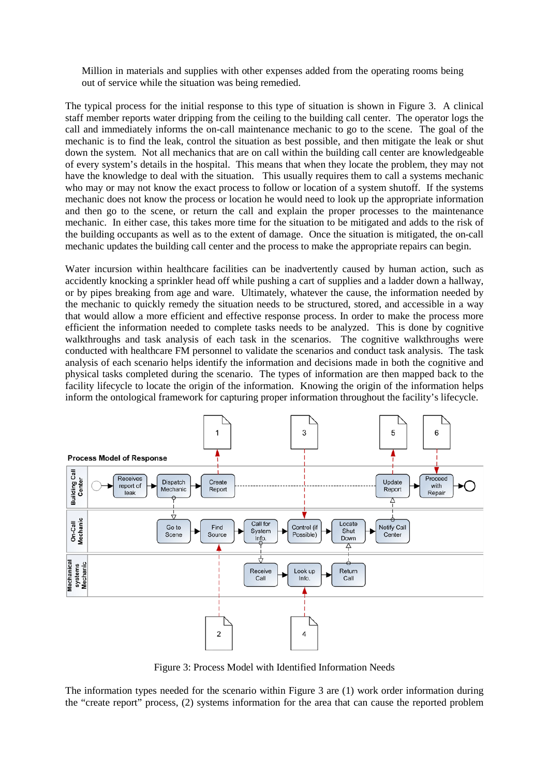Million in materials and supplies with other expenses added from the operating rooms being out of service while the situation was being remedied.

The typical process for the initial response to this type of situation is shown in Figure 3. A clinical staff member reports water dripping from the ceiling to the building call center. The operator logs the call and immediately informs the on-call maintenance mechanic to go to the scene. The goal of the mechanic is to find the leak, control the situation as best possible, and then mitigate the leak or shut down the system. Not all mechanics that are on call within the building call center are knowledgeable of every system's details in the hospital. This means that when they locate the problem, they may not have the knowledge to deal with the situation. This usually requires them to call a systems mechanic who may or may not know the exact process to follow or location of a system shutoff. If the systems mechanic does not know the process or location he would need to look up the appropriate information and then go to the scene, or return the call and explain the proper processes to the maintenance mechanic. In either case, this takes more time for the situation to be mitigated and adds to the risk of the building occupants as well as to the extent of damage. Once the situation is mitigated, the on-call mechanic updates the building call center and the process to make the appropriate repairs can begin.

Water incursion within healthcare facilities can be inadvertently caused by human action, such as accidently knocking a sprinkler head off while pushing a cart of supplies and a ladder down a hallway, or by pipes breaking from age and ware. Ultimately, whatever the cause, the information needed by the mechanic to quickly remedy the situation needs to be structured, stored, and accessible in a way that would allow a more efficient and effective response process. In order to make the process more efficient the information needed to complete tasks needs to be analyzed. This is done by cognitive walkthroughs and task analysis of each task in the scenarios. The cognitive walkthroughs were conducted with healthcare FM personnel to validate the scenarios and conduct task analysis. The task analysis of each scenario helps identify the information and decisions made in both the cognitive and physical tasks completed during the scenario. The types of information are then mapped back to the facility lifecycle to locate the origin of the information. Knowing the origin of the information helps inform the ontological framework for capturing proper information throughout the facility's lifecycle.



Figure 3: Process Model with Identified Information Needs

The information types needed for the scenario within Figure 3 are (1) work order information during the "create report" process, (2) systems information for the area that can cause the reported problem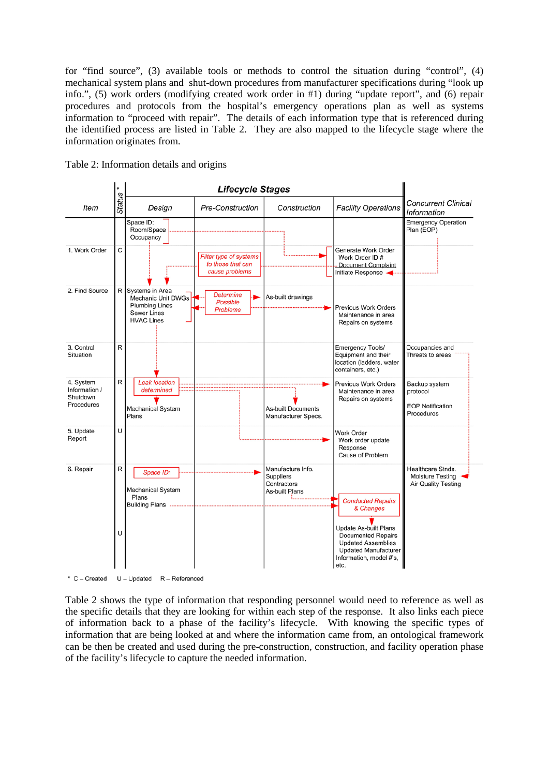for "find source", (3) available tools or methods to control the situation during "control", (4) mechanical system plans and shut-down procedures from manufacturer specifications during "look up info.", (5) work orders (modifying created work order in #1) during "update report", and (6) repair procedures and protocols from the hospital's emergency operations plan as well as systems information to "proceed with repair". The details of each information type that is referenced during the identified process are listed in Table 2. They are also mapped to the lifecycle stage where the information originates from.



Table 2: Information details and origins

\* C - Created U - Updated R - Referenced

Table 2 shows the type of information that responding personnel would need to reference as well as the specific details that they are looking for within each step of the response. It also links each piece of information back to a phase of the facility's lifecycle. With knowing the specific types of information that are being looked at and where the information came from, an ontological framework can be then be created and used during the pre-construction, construction, and facility operation phase of the facility's lifecycle to capture the needed information.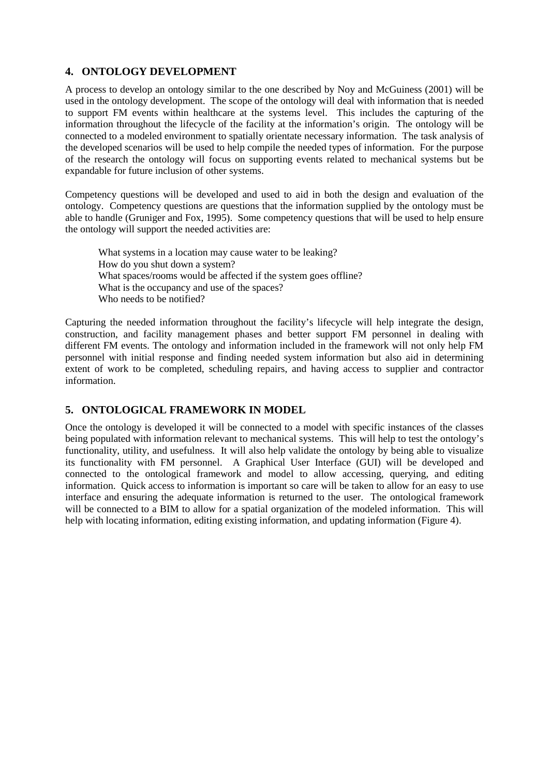## **4. ONTOLOGY DEVELOPMENT**

A process to develop an ontology similar to the one described by Noy and McGuiness (2001) will be used in the ontology development. The scope of the ontology will deal with information that is needed to support FM events within healthcare at the systems level. This includes the capturing of the information throughout the lifecycle of the facility at the information's origin. The ontology will be connected to a modeled environment to spatially orientate necessary information. The task analysis of the developed scenarios will be used to help compile the needed types of information. For the purpose of the research the ontology will focus on supporting events related to mechanical systems but be expandable for future inclusion of other systems.

Competency questions will be developed and used to aid in both the design and evaluation of the ontology. Competency questions are questions that the information supplied by the ontology must be able to handle (Gruniger and Fox, 1995). Some competency questions that will be used to help ensure the ontology will support the needed activities are:

What systems in a location may cause water to be leaking? How do you shut down a system? What spaces/rooms would be affected if the system goes offline? What is the occupancy and use of the spaces? Who needs to be notified?

Capturing the needed information throughout the facility's lifecycle will help integrate the design, construction, and facility management phases and better support FM personnel in dealing with different FM events. The ontology and information included in the framework will not only help FM personnel with initial response and finding needed system information but also aid in determining extent of work to be completed, scheduling repairs, and having access to supplier and contractor information.

# **5. ONTOLOGICAL FRAMEWORK IN MODEL**

Once the ontology is developed it will be connected to a model with specific instances of the classes being populated with information relevant to mechanical systems. This will help to test the ontology's functionality, utility, and usefulness. It will also help validate the ontology by being able to visualize its functionality with FM personnel. A Graphical User Interface (GUI) will be developed and connected to the ontological framework and model to allow accessing, querying, and editing information. Quick access to information is important so care will be taken to allow for an easy to use interface and ensuring the adequate information is returned to the user. The ontological framework will be connected to a BIM to allow for a spatial organization of the modeled information. This will help with locating information, editing existing information, and updating information (Figure 4).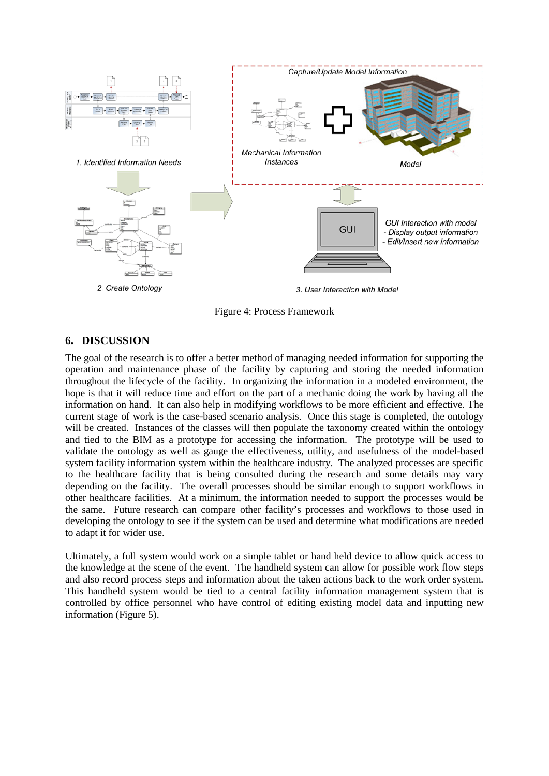

Figure 4: Process Framework

### **6. DISCUSSION**

The goal of the research is to offer a better method of managing needed information for supporting the operation and maintenance phase of the facility by capturing and storing the needed information throughout the lifecycle of the facility. In organizing the information in a modeled environment, the hope is that it will reduce time and effort on the part of a mechanic doing the work by having all the information on hand. It can also help in modifying workflows to be more efficient and effective. The current stage of work is the case-based scenario analysis. Once this stage is completed, the ontology will be created. Instances of the classes will then populate the taxonomy created within the ontology and tied to the BIM as a prototype for accessing the information. The prototype will be used to validate the ontology as well as gauge the effectiveness, utility, and usefulness of the model-based system facility information system within the healthcare industry. The analyzed processes are specific to the healthcare facility that is being consulted during the research and some details may vary depending on the facility. The overall processes should be similar enough to support workflows in other healthcare facilities. At a minimum, the information needed to support the processes would be the same. Future research can compare other facility's processes and workflows to those used in developing the ontology to see if the system can be used and determine what modifications are needed to adapt it for wider use.

Ultimately, a full system would work on a simple tablet or hand held device to allow quick access to the knowledge at the scene of the event. The handheld system can allow for possible work flow steps and also record process steps and information about the taken actions back to the work order system. This handheld system would be tied to a central facility information management system that is controlled by office personnel who have control of editing existing model data and inputting new information (Figure 5).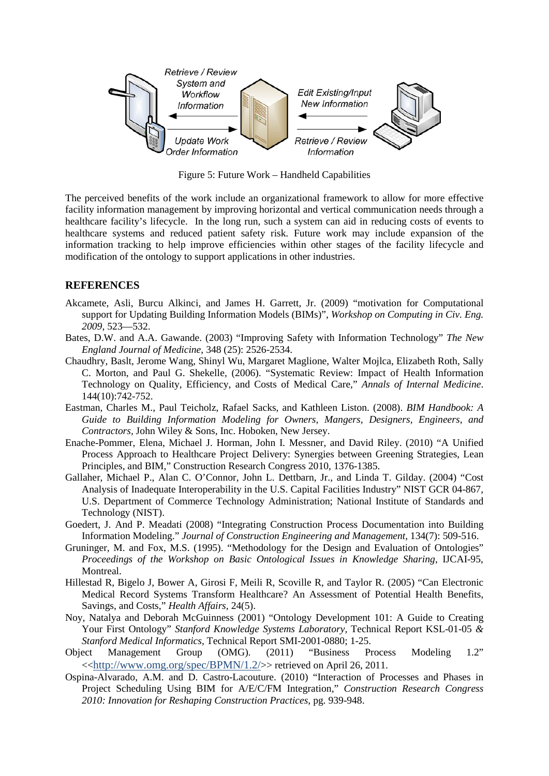

Figure 5: Future Work – Handheld Capabilities

The perceived benefits of the work include an organizational framework to allow for more effective facility information management by improving horizontal and vertical communication needs through a healthcare facility's lifecycle. In the long run, such a system can aid in reducing costs of events to healthcare systems and reduced patient safety risk. Future work may include expansion of the information tracking to help improve efficiencies within other stages of the facility lifecycle and modification of the ontology to support applications in other industries.

#### **REFERENCES**

- Akcamete, Asli, Burcu Alkinci, and James H. Garrett, Jr. (2009) "motivation for Computational support for Updating Building Information Models (BIMs)", *Workshop on Computing in Civ. Eng. 2009,* 523—532.
- Bates, D.W. and A.A. Gawande. (2003) "Improving Safety with Information Technology" *The New England Journal of Medicine*, 348 (25): 2526-2534.
- Chaudhry, Baslt, Jerome Wang, Shinyl Wu, Margaret Maglione, Walter Mojlca, Elizabeth Roth, Sally C. Morton, and Paul G. Shekelle, (2006). "Systematic Review: Impact of Health Information Technology on Quality, Efficiency, and Costs of Medical Care," *Annals of Internal Medicine*. 144(10):742-752.
- Eastman, Charles M., Paul Teicholz, Rafael Sacks, and Kathleen Liston. (2008). *BIM Handbook: A Guide to Building Information Modeling for Owners, Mangers, Designers, Engineers, and Contractors,* John Wiley & Sons, Inc. Hoboken, New Jersey.
- Enache-Pommer, Elena, Michael J. Horman, John I. Messner, and David Riley. (2010) "A Unified Process Approach to Healthcare Project Delivery: Synergies between Greening Strategies, Lean Principles, and BIM," Construction Research Congress 2010, 1376-1385.
- Gallaher, Michael P., Alan C. O'Connor, John L. Dettbarn, Jr., and Linda T. Gilday. (2004) "Cost Analysis of Inadequate Interoperability in the U.S. Capital Facilities Industry" NIST GCR 04-867, U.S. Department of Commerce Technology Administration; National Institute of Standards and Technology (NIST).
- Goedert, J. And P. Meadati (2008) "Integrating Construction Process Documentation into Building Information Modeling." *Journal of Construction Engineering and Management,* 134(7): 509-516.
- Gruninger, M. and Fox, M.S. (1995). "Methodology for the Design and Evaluation of Ontologies" *Proceedings of the Workshop on Basic Ontological Issues in Knowledge Sharing*, IJCAI-95, Montreal.
- Hillestad R, Bigelo J, Bower A, Girosi F, Meili R, Scoville R, and Taylor R. (2005) "Can Electronic Medical Record Systems Transform Healthcare? An Assessment of Potential Health Benefits, Savings, and Costs," *Health Affairs,* 24(5).
- Noy, Natalya and Deborah McGuinness (2001) "Ontology Development 101: A Guide to Creating Your First Ontology" *Stanford Knowledge Systems Laboratory,* Technical Report KSL-01-05 *& Stanford Medical Informatics*, Technical Report SMI-2001-0880; 1-25.
- Object Management Group (OMG). (2011) "Business Process Modeling 1.2" <[<http://www.omg.org/spec/BPMN/1.2/>](http://www.omg.org/spec/BPMN/1.2/)> retrieved on April 26, 2011.
- Ospina-Alvarado, A.M. and D. Castro-Lacouture. (2010) "Interaction of Processes and Phases in Project Scheduling Using BIM for A/E/C/FM Integration," *Construction Research Congress 2010: Innovation for Reshaping Construction Practices*, pg. 939-948.